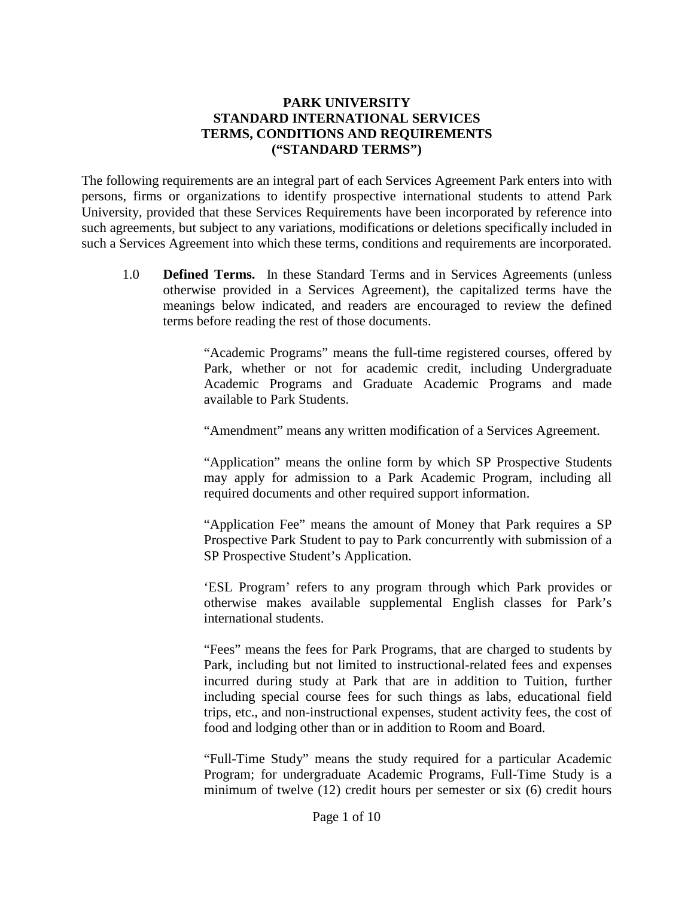# **PARK UNIVERSITY STANDARD INTERNATIONAL SERVICES TERMS, CONDITIONS AND REQUIREMENTS ("STANDARD TERMS")**

The following requirements are an integral part of each Services Agreement Park enters into with persons, firms or organizations to identify prospective international students to attend Park University, provided that these Services Requirements have been incorporated by reference into such agreements, but subject to any variations, modifications or deletions specifically included in such a Services Agreement into which these terms, conditions and requirements are incorporated.

1.0 **Defined Terms.** In these Standard Terms and in Services Agreements (unless otherwise provided in a Services Agreement), the capitalized terms have the meanings below indicated, and readers are encouraged to review the defined terms before reading the rest of those documents.

> "Academic Programs" means the full-time registered courses, offered by Park, whether or not for academic credit, including Undergraduate Academic Programs and Graduate Academic Programs and made available to Park Students.

"Amendment" means any written modification of a Services Agreement.

"Application" means the online form by which SP Prospective Students may apply for admission to a Park Academic Program, including all required documents and other required support information.

"Application Fee" means the amount of Money that Park requires a SP Prospective Park Student to pay to Park concurrently with submission of a SP Prospective Student's Application.

'ESL Program' refers to any program through which Park provides or otherwise makes available supplemental English classes for Park's international students.

"Fees" means the fees for Park Programs, that are charged to students by Park, including but not limited to instructional-related fees and expenses incurred during study at Park that are in addition to Tuition, further including special course fees for such things as labs, educational field trips, etc., and non-instructional expenses, student activity fees, the cost of food and lodging other than or in addition to Room and Board.

"Full-Time Study" means the study required for a particular Academic Program; for undergraduate Academic Programs, Full-Time Study is a minimum of twelve (12) credit hours per semester or six (6) credit hours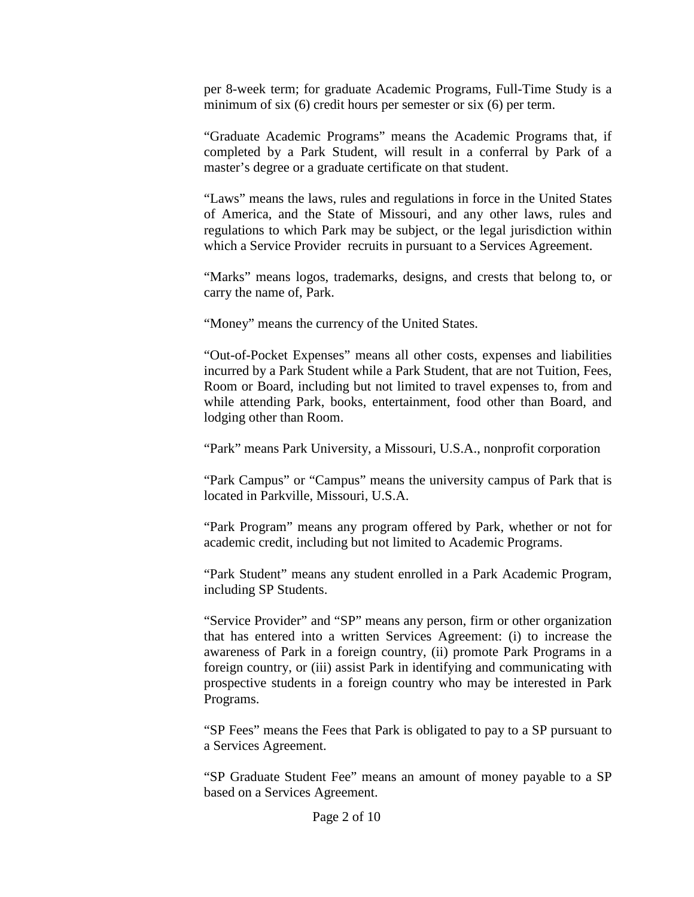per 8-week term; for graduate Academic Programs, Full-Time Study is a minimum of six (6) credit hours per semester or six (6) per term.

"Graduate Academic Programs" means the Academic Programs that, if completed by a Park Student, will result in a conferral by Park of a master's degree or a graduate certificate on that student.

"Laws" means the laws, rules and regulations in force in the United States of America, and the State of Missouri, and any other laws, rules and regulations to which Park may be subject, or the legal jurisdiction within which a Service Provider recruits in pursuant to a Services Agreement.

"Marks" means logos, trademarks, designs, and crests that belong to, or carry the name of, Park.

"Money" means the currency of the United States.

"Out-of-Pocket Expenses" means all other costs, expenses and liabilities incurred by a Park Student while a Park Student, that are not Tuition, Fees, Room or Board, including but not limited to travel expenses to, from and while attending Park, books, entertainment, food other than Board, and lodging other than Room.

"Park" means Park University, a Missouri, U.S.A., nonprofit corporation

"Park Campus" or "Campus" means the university campus of Park that is located in Parkville, Missouri, U.S.A.

"Park Program" means any program offered by Park, whether or not for academic credit, including but not limited to Academic Programs.

"Park Student" means any student enrolled in a Park Academic Program, including SP Students.

"Service Provider" and "SP" means any person, firm or other organization that has entered into a written Services Agreement: (i) to increase the awareness of Park in a foreign country, (ii) promote Park Programs in a foreign country, or (iii) assist Park in identifying and communicating with prospective students in a foreign country who may be interested in Park Programs.

"SP Fees" means the Fees that Park is obligated to pay to a SP pursuant to a Services Agreement.

"SP Graduate Student Fee" means an amount of money payable to a SP based on a Services Agreement.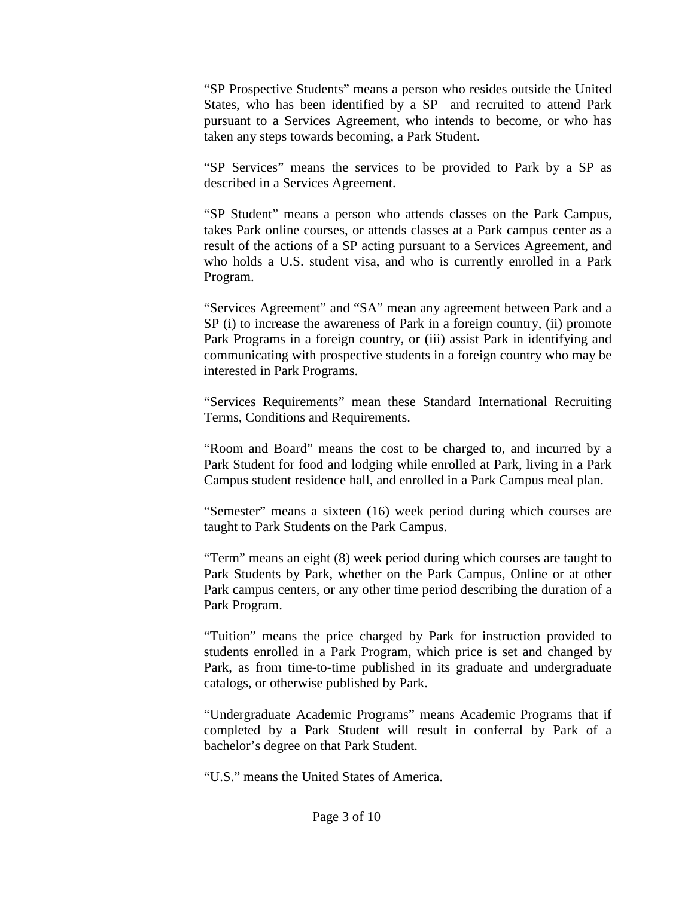"SP Prospective Students" means a person who resides outside the United States, who has been identified by a SP and recruited to attend Park pursuant to a Services Agreement, who intends to become, or who has taken any steps towards becoming, a Park Student.

"SP Services" means the services to be provided to Park by a SP as described in a Services Agreement.

"SP Student" means a person who attends classes on the Park Campus, takes Park online courses, or attends classes at a Park campus center as a result of the actions of a SP acting pursuant to a Services Agreement, and who holds a U.S. student visa, and who is currently enrolled in a Park Program.

"Services Agreement" and "SA" mean any agreement between Park and a SP (i) to increase the awareness of Park in a foreign country, (ii) promote Park Programs in a foreign country, or (iii) assist Park in identifying and communicating with prospective students in a foreign country who may be interested in Park Programs.

"Services Requirements" mean these Standard International Recruiting Terms, Conditions and Requirements.

"Room and Board" means the cost to be charged to, and incurred by a Park Student for food and lodging while enrolled at Park, living in a Park Campus student residence hall, and enrolled in a Park Campus meal plan.

"Semester" means a sixteen (16) week period during which courses are taught to Park Students on the Park Campus.

"Term" means an eight (8) week period during which courses are taught to Park Students by Park, whether on the Park Campus, Online or at other Park campus centers, or any other time period describing the duration of a Park Program.

"Tuition" means the price charged by Park for instruction provided to students enrolled in a Park Program, which price is set and changed by Park, as from time-to-time published in its graduate and undergraduate catalogs, or otherwise published by Park.

"Undergraduate Academic Programs" means Academic Programs that if completed by a Park Student will result in conferral by Park of a bachelor's degree on that Park Student.

"U.S." means the United States of America.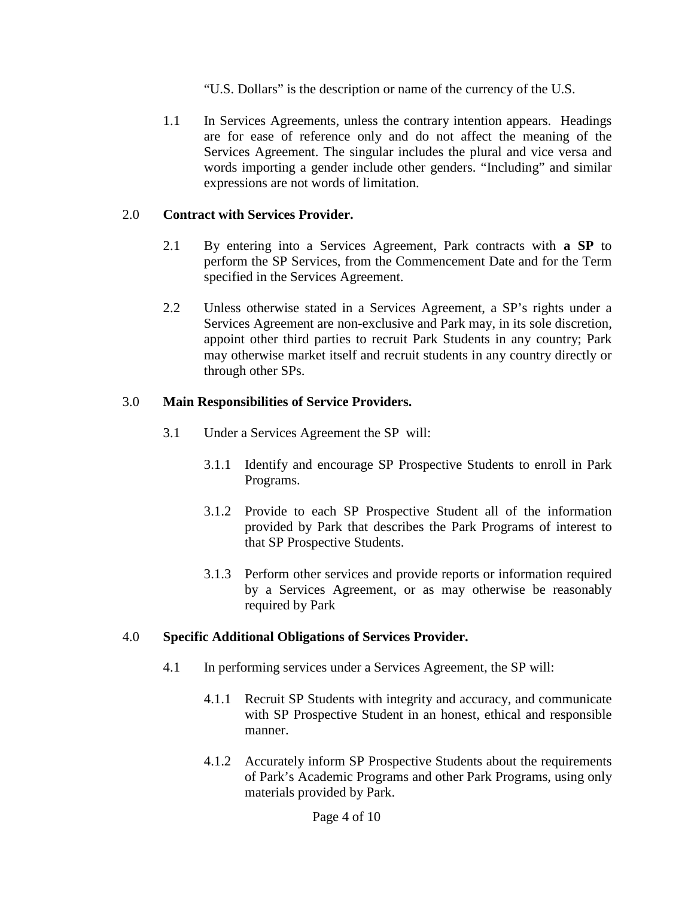"U.S. Dollars" is the description or name of the currency of the U.S.

1.1 In Services Agreements, unless the contrary intention appears. Headings are for ease of reference only and do not affect the meaning of the Services Agreement. The singular includes the plural and vice versa and words importing a gender include other genders. "Including" and similar expressions are not words of limitation.

# 2.0 **Contract with Services Provider.**

- 2.1 By entering into a Services Agreement, Park contracts with **a SP** to perform the SP Services, from the Commencement Date and for the Term specified in the Services Agreement.
- 2.2 Unless otherwise stated in a Services Agreement, a SP's rights under a Services Agreement are non-exclusive and Park may, in its sole discretion, appoint other third parties to recruit Park Students in any country; Park may otherwise market itself and recruit students in any country directly or through other SPs.

# 3.0 **Main Responsibilities of Service Providers.**

- 3.1 Under a Services Agreement the SP will:
	- 3.1.1 Identify and encourage SP Prospective Students to enroll in Park Programs.
	- 3.1.2 Provide to each SP Prospective Student all of the information provided by Park that describes the Park Programs of interest to that SP Prospective Students.
	- 3.1.3 Perform other services and provide reports or information required by a Services Agreement, or as may otherwise be reasonably required by Park

# 4.0 **Specific Additional Obligations of Services Provider.**

- 4.1 In performing services under a Services Agreement, the SP will:
	- 4.1.1 Recruit SP Students with integrity and accuracy, and communicate with SP Prospective Student in an honest, ethical and responsible manner.
	- 4.1.2 Accurately inform SP Prospective Students about the requirements of Park's Academic Programs and other Park Programs, using only materials provided by Park.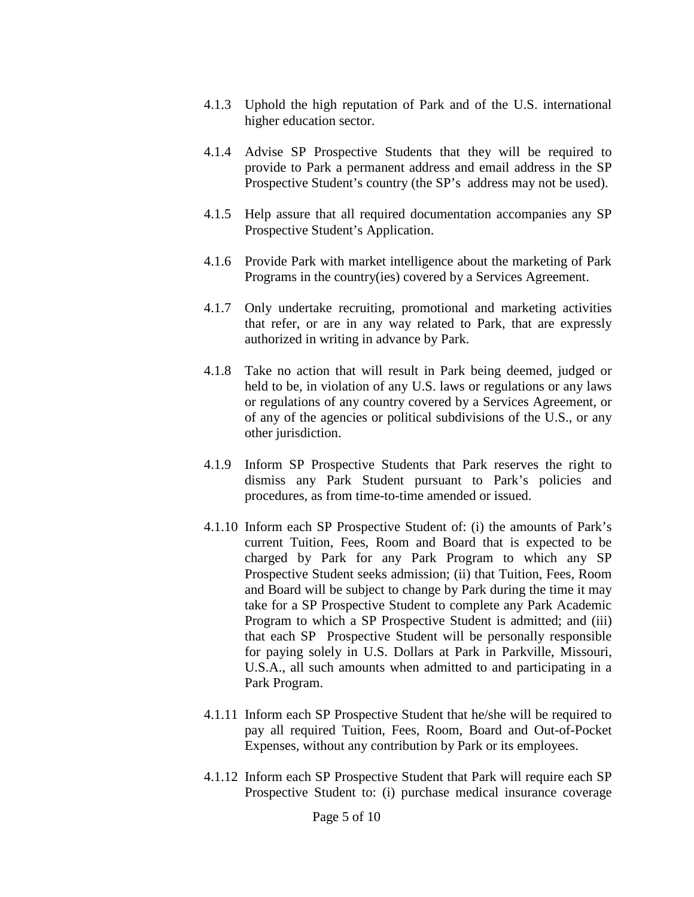- 4.1.3 Uphold the high reputation of Park and of the U.S. international higher education sector.
- 4.1.4 Advise SP Prospective Students that they will be required to provide to Park a permanent address and email address in the SP Prospective Student's country (the SP's address may not be used).
- 4.1.5 Help assure that all required documentation accompanies any SP Prospective Student's Application.
- 4.1.6 Provide Park with market intelligence about the marketing of Park Programs in the country(ies) covered by a Services Agreement.
- 4.1.7 Only undertake recruiting, promotional and marketing activities that refer, or are in any way related to Park, that are expressly authorized in writing in advance by Park.
- 4.1.8 Take no action that will result in Park being deemed, judged or held to be, in violation of any U.S. laws or regulations or any laws or regulations of any country covered by a Services Agreement, or of any of the agencies or political subdivisions of the U.S., or any other jurisdiction.
- 4.1.9 Inform SP Prospective Students that Park reserves the right to dismiss any Park Student pursuant to Park's policies and procedures, as from time-to-time amended or issued.
- 4.1.10 Inform each SP Prospective Student of: (i) the amounts of Park's current Tuition, Fees, Room and Board that is expected to be charged by Park for any Park Program to which any SP Prospective Student seeks admission; (ii) that Tuition, Fees, Room and Board will be subject to change by Park during the time it may take for a SP Prospective Student to complete any Park Academic Program to which a SP Prospective Student is admitted; and (iii) that each SP Prospective Student will be personally responsible for paying solely in U.S. Dollars at Park in Parkville, Missouri, U.S.A., all such amounts when admitted to and participating in a Park Program.
- 4.1.11 Inform each SP Prospective Student that he/she will be required to pay all required Tuition, Fees, Room, Board and Out-of-Pocket Expenses, without any contribution by Park or its employees.
- 4.1.12 Inform each SP Prospective Student that Park will require each SP Prospective Student to: (i) purchase medical insurance coverage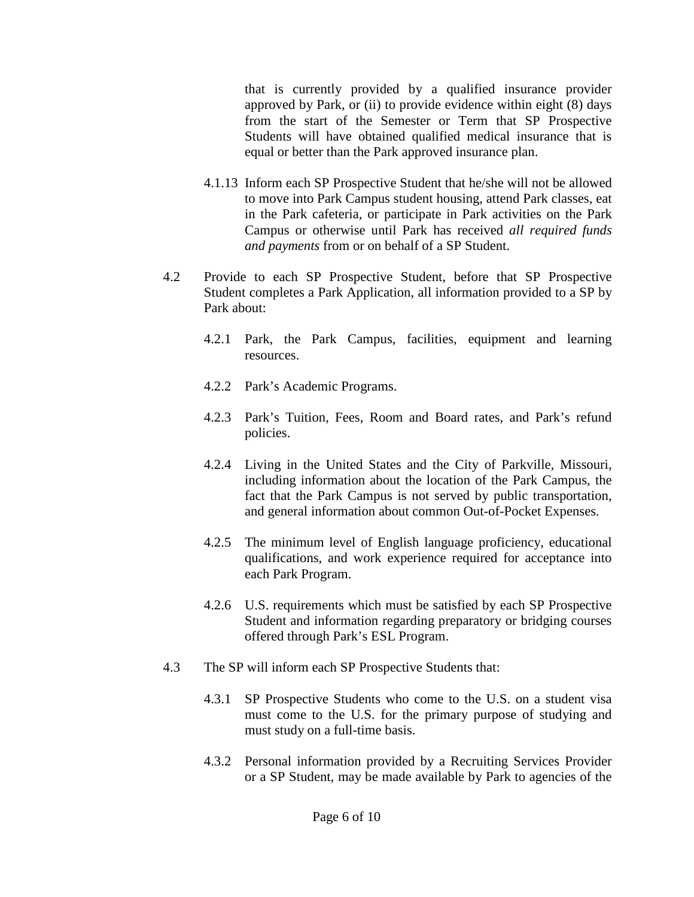that is currently provided by a qualified insurance provider approved by Park, or (ii) to provide evidence within eight  $(8)$  days from the start of the Semester or Term that SP Prospective Students will have obtained qualified medical insurance that is equal or better than the Park approved insurance plan.

- 4.1.13 Inform each SP Prospective Student that he/she will not be allowed to move into Park Campus student housing, attend Park classes, eat in the Park cafeteria, or participate in Park activities on the Park Campus or otherwise until Park has received *all required funds and payments* from or on behalf of a SP Student.
- 4.2 Provide to each SP Prospective Student, before that SP Prospective Student completes a Park Application, all information provided to a SP by Park about:
	- 4.2.1 Park, the Park Campus, facilities, equipment and learning resources.
	- 4.2.2 Park's Academic Programs.
	- 4.2.3 Park's Tuition, Fees, Room and Board rates, and Park's refund policies.
	- 4.2.4 Living in the United States and the City of Parkville, Missouri, including information about the location of the Park Campus, the fact that the Park Campus is not served by public transportation, and general information about common Out-of-Pocket Expenses.
	- 4.2.5 The minimum level of English language proficiency, educational qualifications, and work experience required for acceptance into each Park Program.
	- 4.2.6 U.S. requirements which must be satisfied by each SP Prospective Student and information regarding preparatory or bridging courses offered through Park's ESL Program.
- 4.3 The SP will inform each SP Prospective Students that:
	- 4.3.1 SP Prospective Students who come to the U.S. on a student visa must come to the U.S. for the primary purpose of studying and must study on a full-time basis.
	- 4.3.2 Personal information provided by a Recruiting Services Provider or a SP Student, may be made available by Park to agencies of the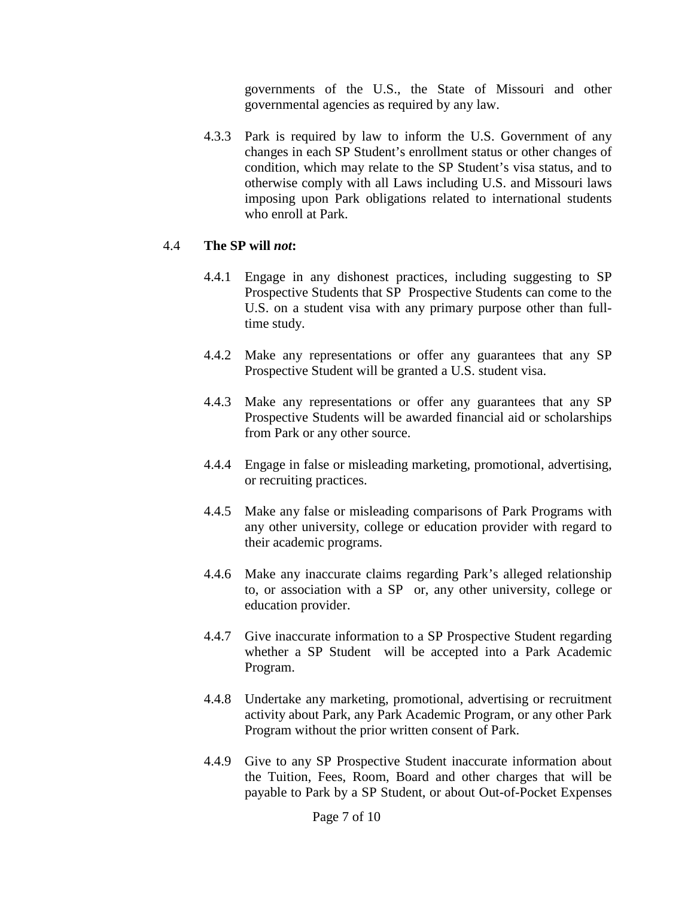governments of the U.S., the State of Missouri and other governmental agencies as required by any law.

4.3.3 Park is required by law to inform the U.S. Government of any changes in each SP Student's enrollment status or other changes of condition, which may relate to the SP Student's visa status, and to otherwise comply with all Laws including U.S. and Missouri laws imposing upon Park obligations related to international students who enroll at Park.

# 4.4 **The SP will** *not***:**

- 4.4.1 Engage in any dishonest practices, including suggesting to SP Prospective Students that SP Prospective Students can come to the U.S. on a student visa with any primary purpose other than fulltime study.
- 4.4.2 Make any representations or offer any guarantees that any SP Prospective Student will be granted a U.S. student visa.
- 4.4.3 Make any representations or offer any guarantees that any SP Prospective Students will be awarded financial aid or scholarships from Park or any other source.
- 4.4.4 Engage in false or misleading marketing, promotional, advertising, or recruiting practices.
- 4.4.5 Make any false or misleading comparisons of Park Programs with any other university, college or education provider with regard to their academic programs.
- 4.4.6 Make any inaccurate claims regarding Park's alleged relationship to, or association with a SP or, any other university, college or education provider.
- 4.4.7 Give inaccurate information to a SP Prospective Student regarding whether a SP Student will be accepted into a Park Academic Program.
- 4.4.8 Undertake any marketing, promotional, advertising or recruitment activity about Park, any Park Academic Program, or any other Park Program without the prior written consent of Park.
- 4.4.9 Give to any SP Prospective Student inaccurate information about the Tuition, Fees, Room, Board and other charges that will be payable to Park by a SP Student, or about Out-of-Pocket Expenses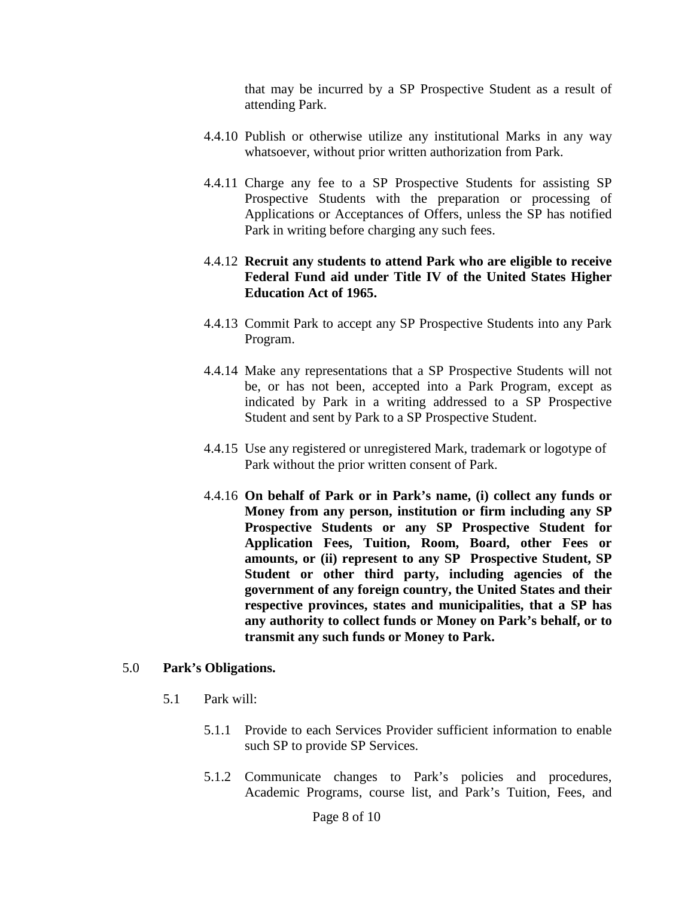that may be incurred by a SP Prospective Student as a result of attending Park.

- 4.4.10 Publish or otherwise utilize any institutional Marks in any way whatsoever, without prior written authorization from Park.
- 4.4.11 Charge any fee to a SP Prospective Students for assisting SP Prospective Students with the preparation or processing of Applications or Acceptances of Offers, unless the SP has notified Park in writing before charging any such fees.

# 4.4.12 **Recruit any students to attend Park who are eligible to receive Federal Fund aid under Title IV of the United States Higher Education Act of 1965.**

- 4.4.13 Commit Park to accept any SP Prospective Students into any Park Program.
- 4.4.14 Make any representations that a SP Prospective Students will not be, or has not been, accepted into a Park Program, except as indicated by Park in a writing addressed to a SP Prospective Student and sent by Park to a SP Prospective Student.
- 4.4.15 Use any registered or unregistered Mark, trademark or logotype of Park without the prior written consent of Park.
- 4.4.16 **On behalf of Park or in Park's name, (i) collect any funds or Money from any person, institution or firm including any SP Prospective Students or any SP Prospective Student for Application Fees, Tuition, Room, Board, other Fees or amounts, or (ii) represent to any SP Prospective Student, SP Student or other third party, including agencies of the government of any foreign country, the United States and their respective provinces, states and municipalities, that a SP has any authority to collect funds or Money on Park's behalf, or to transmit any such funds or Money to Park.**

# 5.0 **Park's Obligations.**

- 5.1 Park will:
	- 5.1.1 Provide to each Services Provider sufficient information to enable such SP to provide SP Services.
	- 5.1.2 Communicate changes to Park's policies and procedures, Academic Programs, course list, and Park's Tuition, Fees, and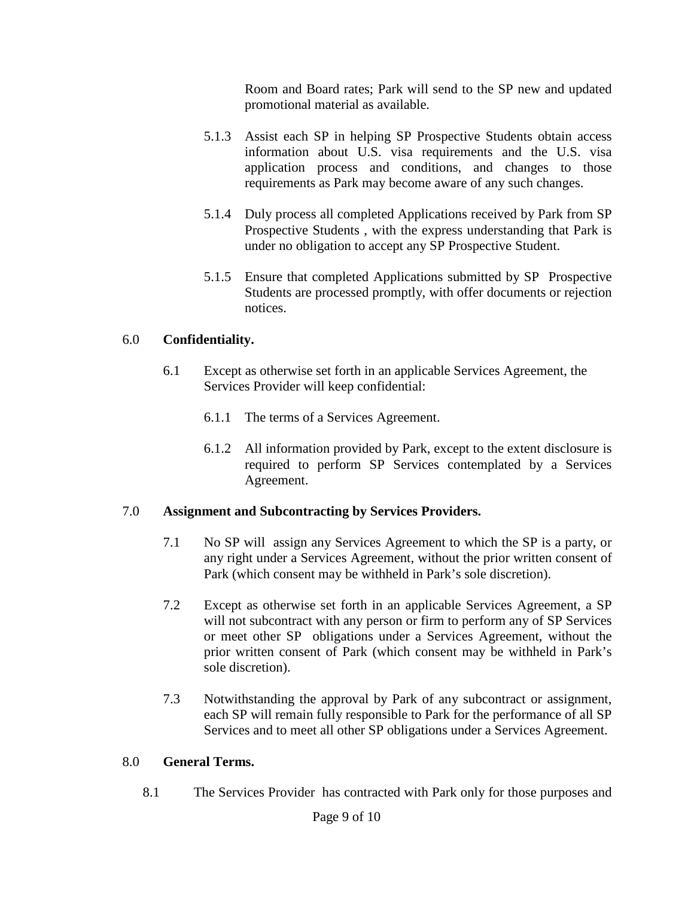Room and Board rates; Park will send to the SP new and updated promotional material as available.

- 5.1.3 Assist each SP in helping SP Prospective Students obtain access information about U.S. visa requirements and the U.S. visa application process and conditions, and changes to those requirements as Park may become aware of any such changes.
- 5.1.4 Duly process all completed Applications received by Park from SP Prospective Students , with the express understanding that Park is under no obligation to accept any SP Prospective Student.
- 5.1.5 Ensure that completed Applications submitted by SP Prospective Students are processed promptly, with offer documents or rejection notices.

# 6.0 **Confidentiality.**

- 6.1 Except as otherwise set forth in an applicable Services Agreement, the Services Provider will keep confidential:
	- 6.1.1 The terms of a Services Agreement.
	- 6.1.2 All information provided by Park, except to the extent disclosure is required to perform SP Services contemplated by a Services Agreement.

# 7.0 **Assignment and Subcontracting by Services Providers.**

- 7.1 No SP will assign any Services Agreement to which the SP is a party, or any right under a Services Agreement, without the prior written consent of Park (which consent may be withheld in Park's sole discretion).
- 7.2 Except as otherwise set forth in an applicable Services Agreement, a SP will not subcontract with any person or firm to perform any of SP Services or meet other SP obligations under a Services Agreement, without the prior written consent of Park (which consent may be withheld in Park's sole discretion).
- 7.3 Notwithstanding the approval by Park of any subcontract or assignment, each SP will remain fully responsible to Park for the performance of all SP Services and to meet all other SP obligations under a Services Agreement.

# 8.0 **General Terms.**

8.1 The Services Provider has contracted with Park only for those purposes and